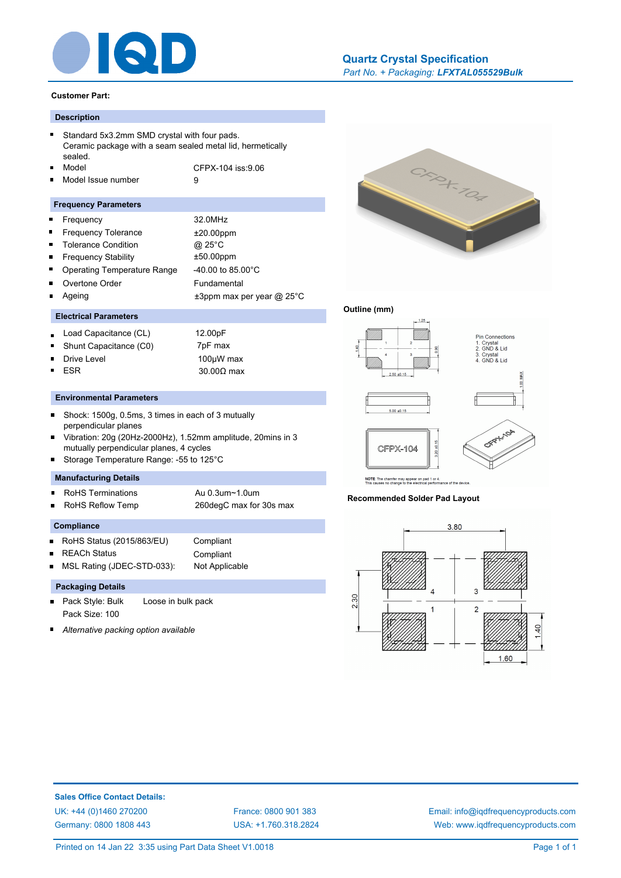

# *Part No. + Packaging: LFXTAL055529Bulk* **[Quartz Crystal Specification](http://www.iqdfrequencyproducts.com/products/search/?type=tcxo-tcvcxo&model=All&product-features=All&package=All&frequency=All&frequency-uom=MHz&frequency-stability=All&temperature-range=All&output=All&voltage=All)**

#### **Customer Part:**

# **Description**

|  | Standard 5x3.2mm SMD crystal with four pads.<br>Ceramic package with a seam sealed metal lid, hermetically |                   |  |
|--|------------------------------------------------------------------------------------------------------------|-------------------|--|
|  |                                                                                                            |                   |  |
|  | sealed.                                                                                                    |                   |  |
|  | ■ Model                                                                                                    | CFPX-104 iss:9.06 |  |

Model Issue number 9

#### **Frequency Parameters**

| п              | Frequency                          | 32.0MHz                         |
|----------------|------------------------------------|---------------------------------|
| $\blacksquare$ | <b>Frequency Tolerance</b>         | $±20.00$ ppm                    |
| п              | <b>Tolerance Condition</b>         | @ 25°C                          |
| $\blacksquare$ | <b>Frequency Stability</b>         | $±50.00$ ppm                    |
| $\blacksquare$ | <b>Operating Temperature Range</b> | $-40.00$ to 85.00 $^{\circ}$ C  |
|                | Overtone Order                     | Fundamental                     |
|                | Ageing                             | $\pm 3$ ppm max per year @ 25°C |
|                |                                    |                                 |

## **Electrical Parameters**

- Load Capacitance (CL) 12.00pF  $\blacksquare$
- Shunt Capacitance (C0) 7pF max
- $\blacksquare$

 $\blacksquare$ 

Drive Level 100µW max ESR 30.00Ω max

# **Environmental Parameters**

- $\blacksquare$ Shock: 1500g, 0.5ms, 3 times in each of 3 mutually perpendicular planes
- Vibration: 20g (20Hz-2000Hz), 1.52mm amplitude, 20mins in 3 mutually perpendicular planes, 4 cycles
- Storage Temperature Range: -55 to 125°C

# **Manufacturing Details**

- RoHS Terminations **Au 0.3um~1.0um**  $\blacksquare$
- RoHS Reflow Temp 260degC max for 30s max

#### **Compliance**

- RoHS Status (2015/863/EU) Compliant
- REACh Status Compliant

MSL Rating (JDEC-STD-033): Not Applicable

# **Packaging Details**

- Pack Style: Bulk Loose in bulk pack  $\blacksquare$ Pack Size: 100
- *Alternative packing option available*



## **Outline (mm)**



**Recommended Solder Pad Layout**



**Sales Office Contact Details:** [UK: +44 \(0\)1460 270200](http://www.iqdfrequencyproducts.co.uk) [France: 0800 901 383](http://www.iqdfrequencyproducts.fr) [Germany: 0800 1808 443](http://www.iqdfrequencyproducts.de)

[USA: +1.760.318.2824](http://www.iqdfrequencyproducts.com)

[Email: info@iqdfrequencyproducts.com](mailto:info@iqdfrequencyproducts.com) [Web: www.iqdfrequencyproducts.com](http://www.iqdfrequencyproducts.com)